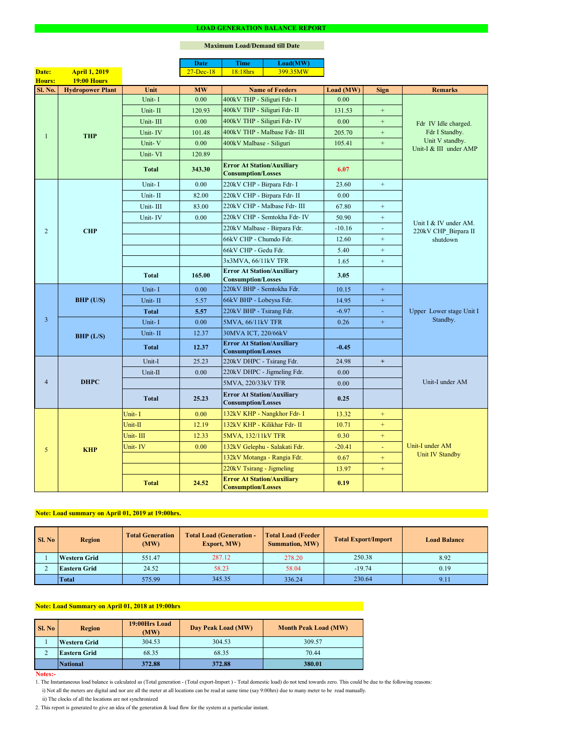#### **Notes:-**

|                              |                         |              | <b>Date</b>       | <b>Time</b>                                                    | Load(MW)                      |           |                  |                                               |  |
|------------------------------|-------------------------|--------------|-------------------|----------------------------------------------------------------|-------------------------------|-----------|------------------|-----------------------------------------------|--|
| Date:                        | <b>April 1, 2019</b>    |              | $27 - Dec-18$     | 18:18hrs                                                       | 399.35MW                      |           |                  |                                               |  |
| <b>19:00 Hours</b><br>Hours: |                         |              |                   |                                                                |                               |           |                  |                                               |  |
| Sl. No.                      | <b>Hydropower Plant</b> | Unit         | <b>MW</b>         | <b>Name of Feeders</b>                                         |                               | Load (MW) | <b>Sign</b>      | <b>Remarks</b>                                |  |
|                              |                         | Unit-I       | 0.00              | 400kV THP - Siliguri Fdr- I                                    |                               | 0.00      |                  |                                               |  |
|                              |                         | Unit-II      | 120.93            | 400kV THP - Siliguri Fdr- II                                   |                               | 131.53    | $+$              |                                               |  |
|                              |                         | Unit-III     | 0.00              |                                                                | 400kV THP - Siliguri Fdr- IV  | 0.00      | $\pm$            | Fdr IV Idle charged.                          |  |
| 1                            | <b>THP</b>              | Unit-IV      | 101.48            |                                                                | 400kV THP - Malbase Fdr- III  | 205.70    | $+$              | Fdr I Standby.                                |  |
|                              |                         | Unit-V       | 0.00              | 400kV Malbase - Siliguri                                       |                               | 105.41    | $+$              | Unit V standby.<br>Unit-I & III under AMP     |  |
|                              |                         | Unit-VI      | 120.89            |                                                                |                               |           |                  |                                               |  |
|                              |                         | <b>Total</b> | 343.30            | <b>Error At Station/Auxiliary</b><br><b>Consumption/Losses</b> |                               | 6.07      |                  |                                               |  |
|                              |                         | Unit-I       | 0.00              | 220kV CHP - Birpara Fdr- I                                     |                               | 23.60     | $+$              |                                               |  |
|                              |                         | Unit-II      | 82.00             | 220kV CHP - Birpara Fdr- II                                    |                               | 0.00      |                  |                                               |  |
|                              |                         | Unit-III     | 83.00             |                                                                | 220kV CHP - Malbase Fdr- III  | 67.80     | $+$              |                                               |  |
|                              |                         | Unit-IV      | 0.00              |                                                                | 220kV CHP - Semtokha Fdr- IV  | 50.90     | $\boldsymbol{+}$ |                                               |  |
| $\overline{2}$               | <b>CHP</b>              |              |                   |                                                                | 220kV Malbase - Birpara Fdr.  | $-10.16$  | $\blacksquare$   | Unit I & IV under AM.<br>220kV CHP_Birpara II |  |
|                              |                         |              |                   | 66kV CHP - Chumdo Fdr.                                         |                               | 12.60     | $+$              | shutdown                                      |  |
|                              |                         |              |                   | 66kV CHP - Gedu Fdr.                                           |                               | 5.40      | $+$              |                                               |  |
|                              |                         |              |                   | 3x3MVA, 66/11kV TFR                                            |                               | 1.65      | $\boldsymbol{+}$ |                                               |  |
|                              |                         | <b>Total</b> | 165.00            | <b>Error At Station/Auxiliary</b><br><b>Consumption/Losses</b> |                               | 3.05      |                  |                                               |  |
|                              | <b>BHP</b> (U/S)        | Unit-I       | 0.00              | 220kV BHP - Semtokha Fdr.                                      |                               | 10.15     | $\pm$            |                                               |  |
|                              |                         | Unit-II      | 5.57              | 66kV BHP - Lobeysa Fdr.                                        |                               | 14.95     | $\pm$            |                                               |  |
|                              |                         | <b>Total</b> | 5.57              | 220kV BHP - Tsirang Fdr.                                       |                               | $-6.97$   | $\sim$           | Upper Lower stage Unit I<br>Standby.          |  |
| $\overline{3}$               |                         | Unit-I       | 0.00              | 5MVA, 66/11kV TFR                                              |                               | 0.26      | $\pm$            |                                               |  |
|                              |                         | Unit-II      | 12.37             | 30MVA ICT, 220/66kV                                            |                               |           |                  |                                               |  |
|                              | BHP (L/S)               |              |                   | <b>Error At Station/Auxiliary</b>                              |                               |           |                  |                                               |  |
|                              |                         | <b>Total</b> | 12.37             | <b>Consumption/Losses</b>                                      |                               | $-0.45$   |                  |                                               |  |
|                              | <b>DHPC</b>             | Unit-I       | 25.23             | 220kV DHPC - Tsirang Fdr.                                      |                               | 24.98     | $+$              |                                               |  |
|                              |                         | Unit-II      | 0.00              |                                                                | 220kV DHPC - Jigmeling Fdr.   | 0.00      |                  |                                               |  |
| $\overline{4}$               |                         |              |                   | 5MVA, 220/33kV TFR                                             |                               | 0.00      |                  | Unit-I under AM                               |  |
|                              |                         | <b>Total</b> | 25.23             | <b>Error At Station/Auxiliary</b><br><b>Consumption/Losses</b> |                               | 0.25      |                  |                                               |  |
|                              |                         | Unit-I       | 0.00              |                                                                | 132kV KHP - Nangkhor Fdr- I   | 13.32     | $+$              |                                               |  |
|                              |                         | Unit-II      | 12.19             |                                                                | 132kV KHP - Kilikhar Fdr- II  | 10.71     | $+$              |                                               |  |
|                              | <b>KHP</b>              | Unit-III     | 12.33             | 5MVA, 132/11kV TFR                                             |                               | 0.30      | $+$              |                                               |  |
| 5                            |                         | Unit-IV      | 0.00 <sub>1</sub> |                                                                | 132kV Gelephu - Salakati Fdr. | $-20.41$  |                  | Unit-I under AM<br>Unit IV Standby            |  |
|                              |                         |              |                   |                                                                | 132kV Motanga - Rangia Fdr.   | 0.67      | $+$              |                                               |  |
|                              |                         |              |                   | 220kV Tsirang - Jigmeling                                      |                               | 13.97     | $+$              |                                               |  |
|                              |                         | <b>Total</b> | 24.52             | <b>Error At Station/Auxiliary</b><br><b>Consumption/Losses</b> |                               | 0.19      |                  |                                               |  |

### **LOAD GENERATION BALANCE REPORT**

| SI. No | <b>Total Generation</b><br><b>Region</b><br>(MW) |        | <b>Total Load (Generation -</b><br><b>Export, MW)</b> | <b>Total Load (Feeder)</b><br><b>Summation, MW)</b> | <b>Total Export/Import</b> | <b>Load Balance</b> |
|--------|--------------------------------------------------|--------|-------------------------------------------------------|-----------------------------------------------------|----------------------------|---------------------|
|        | <b>Western Grid</b>                              | 551.47 | 287.12                                                | 278.20                                              | 250.38                     | 8.92                |
|        | 24.52<br><b>Eastern Grid</b>                     |        | 58.23                                                 | 58.04                                               | $-19.74$                   | 0.19                |
|        | <b>Total</b>                                     | 575.99 | 345.35                                                | 336.24                                              | 230.64                     | 9.11                |

| Sl. No | <b>Region</b>       | 19:00Hrs Load<br>(MW) | Day Peak Load (MW) | <b>Month Peak Load (MW)</b> |  |
|--------|---------------------|-----------------------|--------------------|-----------------------------|--|
|        | <b>Western Grid</b> | 304.53                | 304.53             | 309.57                      |  |
| ∠      | <b>Eastern Grid</b> | 68.35                 | 68.35              | 70.44                       |  |
|        | National            | 372.88                | 372.88             | 380.01                      |  |

i) Not all the meters are digital and nor are all the meter at all locations can be read at same time (say 9:00hrs) due to many meter to be read manually.

# **Note: Load Summary on April 01, 2018 at 19:00hrs**

1. The Instantaneous load balance is calculated as (Total generation - (Total export-Import ) - Total domestic load) do not tend towards zero. This could be due to the following reasons:

# **Note: Load summary on April 01, 2019 at 19:00hrs.**

2. This report is generated to give an idea of the generation & load flow for the system at a particular instant.

### **Maximum Load/Demand till Date**

ii) The clocks of all the locations are not synchronized